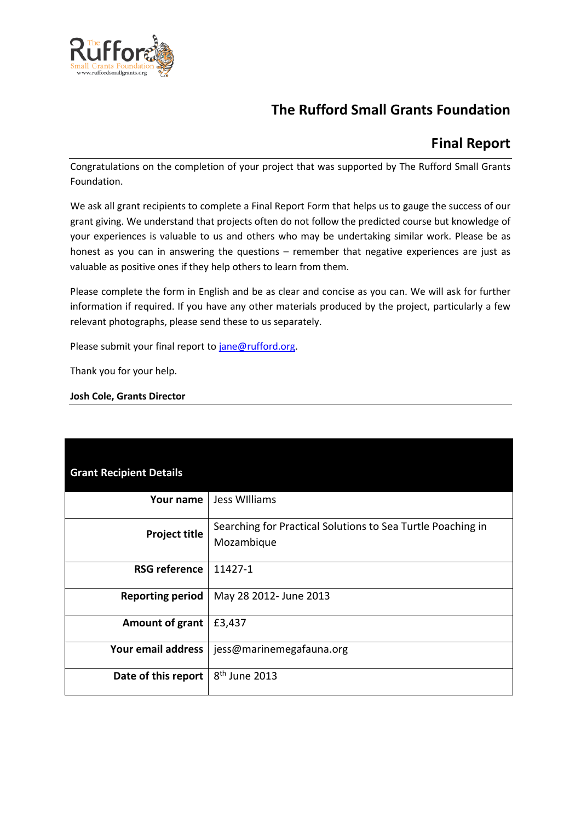

# **The Rufford Small Grants Foundation**

## **Final Report**

Congratulations on the completion of your project that was supported by The Rufford Small Grants Foundation.

We ask all grant recipients to complete a Final Report Form that helps us to gauge the success of our grant giving. We understand that projects often do not follow the predicted course but knowledge of your experiences is valuable to us and others who may be undertaking similar work. Please be as honest as you can in answering the questions – remember that negative experiences are just as valuable as positive ones if they help others to learn from them.

Please complete the form in English and be as clear and concise as you can. We will ask for further information if required. If you have any other materials produced by the project, particularly a few relevant photographs, please send these to us separately.

Please submit your final report to [jane@rufford.org.](mailto:jane@rufford.org)

Thank you for your help.

#### **Josh Cole, Grants Director**

| <b>Grant Recipient Details</b> |                                                                           |
|--------------------------------|---------------------------------------------------------------------------|
| Your name                      | Jess Williams                                                             |
| <b>Project title</b>           | Searching for Practical Solutions to Sea Turtle Poaching in<br>Mozambique |
| <b>RSG reference</b>           | 11427-1                                                                   |
| <b>Reporting period</b>        | May 28 2012- June 2013                                                    |
| <b>Amount of grant</b>         | £3,437                                                                    |
| Your email address             | jess@marinemegafauna.org                                                  |
| Date of this report            | $8th$ June 2013                                                           |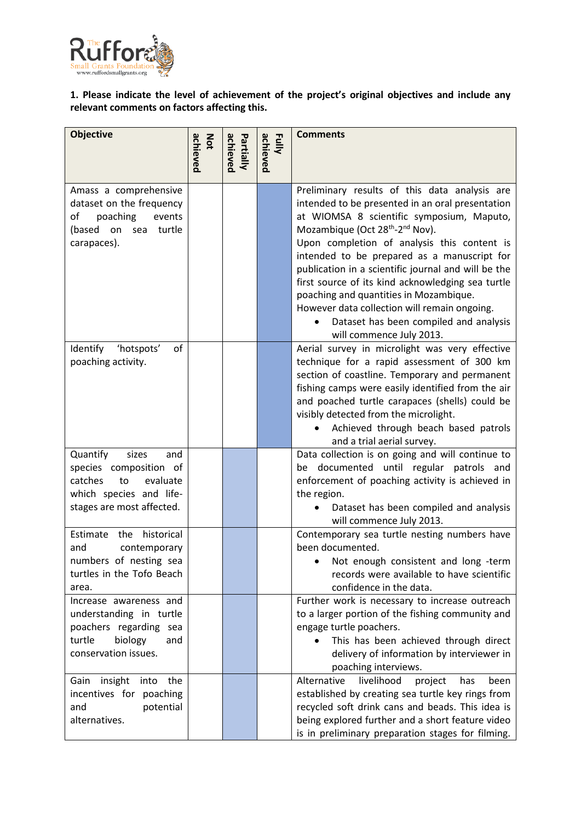

**1. Please indicate the level of achievement of the project's original objectives and include any relevant comments on factors affecting this.** 

| <b>Objective</b>                                                                                                                        | achieved<br>Not | achieved<br>Partially | Fully<br>achieved | <b>Comments</b>                                                                                                                                                                                                                                                                                                                                                                                                                                                                                                                                                                     |
|-----------------------------------------------------------------------------------------------------------------------------------------|-----------------|-----------------------|-------------------|-------------------------------------------------------------------------------------------------------------------------------------------------------------------------------------------------------------------------------------------------------------------------------------------------------------------------------------------------------------------------------------------------------------------------------------------------------------------------------------------------------------------------------------------------------------------------------------|
| Amass a comprehensive<br>dataset on the frequency<br>оf<br>poaching<br>events<br>(based on sea turtle<br>carapaces).                    |                 |                       |                   | Preliminary results of this data analysis are<br>intended to be presented in an oral presentation<br>at WIOMSA 8 scientific symposium, Maputo,<br>Mozambique (Oct 28 <sup>th</sup> -2 <sup>nd</sup> Nov).<br>Upon completion of analysis this content is<br>intended to be prepared as a manuscript for<br>publication in a scientific journal and will be the<br>first source of its kind acknowledging sea turtle<br>poaching and quantities in Mozambique.<br>However data collection will remain ongoing.<br>Dataset has been compiled and analysis<br>will commence July 2013. |
| Identify<br>of<br>'hotspots'<br>poaching activity.                                                                                      |                 |                       |                   | Aerial survey in microlight was very effective<br>technique for a rapid assessment of 300 km<br>section of coastline. Temporary and permanent<br>fishing camps were easily identified from the air<br>and poached turtle carapaces (shells) could be<br>visibly detected from the microlight.<br>Achieved through beach based patrols<br>and a trial aerial survey.                                                                                                                                                                                                                 |
| Quantify<br>sizes<br>and<br>species composition of<br>catches<br>evaluate<br>to<br>which species and life-<br>stages are most affected. |                 |                       |                   | Data collection is on going and will continue to<br>be documented until regular patrols and<br>enforcement of poaching activity is achieved in<br>the region.<br>Dataset has been compiled and analysis<br>will commence July 2013.                                                                                                                                                                                                                                                                                                                                                 |
| historical<br>Estimate<br>the<br>and<br>contemporary<br>numbers of nesting sea<br>turtles in the Tofo Beach<br>area.                    |                 |                       |                   | Contemporary sea turtle nesting numbers have<br>been documented.<br>Not enough consistent and long -term<br>records were available to have scientific<br>confidence in the data.                                                                                                                                                                                                                                                                                                                                                                                                    |
| Increase awareness and<br>understanding in turtle<br>poachers regarding sea<br>turtle<br>biology<br>and<br>conservation issues.         |                 |                       |                   | Further work is necessary to increase outreach<br>to a larger portion of the fishing community and<br>engage turtle poachers.<br>This has been achieved through direct<br>delivery of information by interviewer in<br>poaching interviews.                                                                                                                                                                                                                                                                                                                                         |
| Gain insight into the<br>incentives for poaching<br>potential<br>and<br>alternatives.                                                   |                 |                       |                   | Alternative<br>livelihood<br>project<br>has<br>been<br>established by creating sea turtle key rings from<br>recycled soft drink cans and beads. This idea is<br>being explored further and a short feature video<br>is in preliminary preparation stages for filming.                                                                                                                                                                                                                                                                                                               |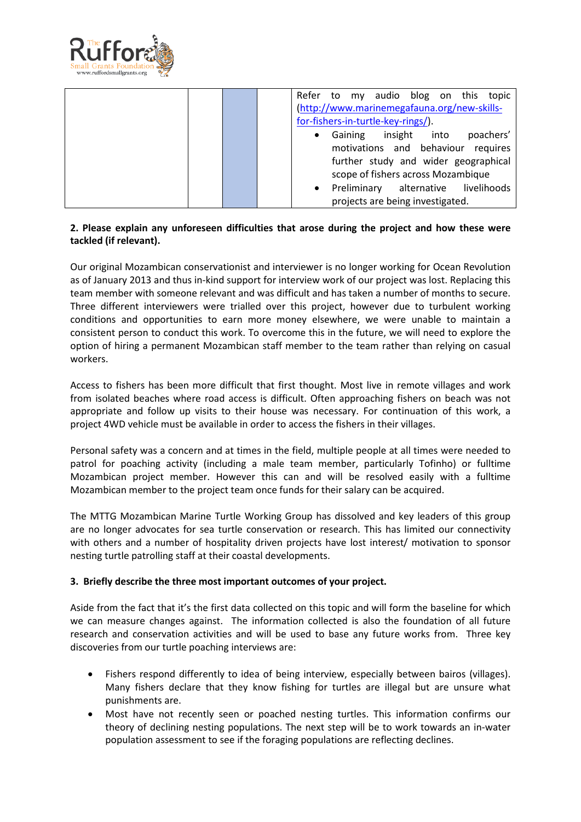

|  |                                       | Refer to my audio blog on this<br>topic                |  |  |  |  |  |
|--|---------------------------------------|--------------------------------------------------------|--|--|--|--|--|
|  |                                       | (http://www.marinemegafauna.org/new-skills-            |  |  |  |  |  |
|  |                                       | for-fishers-in-turtle-key-rings/).                     |  |  |  |  |  |
|  |                                       | insight<br>Gaining<br>into<br>poachers'<br>$\bullet$   |  |  |  |  |  |
|  | motivations and behaviour<br>requires |                                                        |  |  |  |  |  |
|  |                                       | further study and wider geographical                   |  |  |  |  |  |
|  |                                       | scope of fishers across Mozambique                     |  |  |  |  |  |
|  |                                       | Preliminary<br>livelihoods<br>alternative<br>$\bullet$ |  |  |  |  |  |
|  |                                       | projects are being investigated.                       |  |  |  |  |  |

## **2. Please explain any unforeseen difficulties that arose during the project and how these were tackled (if relevant).**

Our original Mozambican conservationist and interviewer is no longer working for Ocean Revolution as of January 2013 and thus in-kind support for interview work of our project was lost. Replacing this team member with someone relevant and was difficult and has taken a number of months to secure. Three different interviewers were trialled over this project, however due to turbulent working conditions and opportunities to earn more money elsewhere, we were unable to maintain a consistent person to conduct this work. To overcome this in the future, we will need to explore the option of hiring a permanent Mozambican staff member to the team rather than relying on casual workers.

Access to fishers has been more difficult that first thought. Most live in remote villages and work from isolated beaches where road access is difficult. Often approaching fishers on beach was not appropriate and follow up visits to their house was necessary. For continuation of this work, a project 4WD vehicle must be available in order to access the fishers in their villages.

Personal safety was a concern and at times in the field, multiple people at all times were needed to patrol for poaching activity (including a male team member, particularly Tofinho) or fulltime Mozambican project member. However this can and will be resolved easily with a fulltime Mozambican member to the project team once funds for their salary can be acquired.

The MTTG Mozambican Marine Turtle Working Group has dissolved and key leaders of this group are no longer advocates for sea turtle conservation or research. This has limited our connectivity with others and a number of hospitality driven projects have lost interest/ motivation to sponsor nesting turtle patrolling staff at their coastal developments.

## **3. Briefly describe the three most important outcomes of your project.**

Aside from the fact that it's the first data collected on this topic and will form the baseline for which we can measure changes against. The information collected is also the foundation of all future research and conservation activities and will be used to base any future works from. Three key discoveries from our turtle poaching interviews are:

- Fishers respond differently to idea of being interview, especially between bairos (villages). Many fishers declare that they know fishing for turtles are illegal but are unsure what punishments are.
- Most have not recently seen or poached nesting turtles. This information confirms our theory of declining nesting populations. The next step will be to work towards an in-water population assessment to see if the foraging populations are reflecting declines.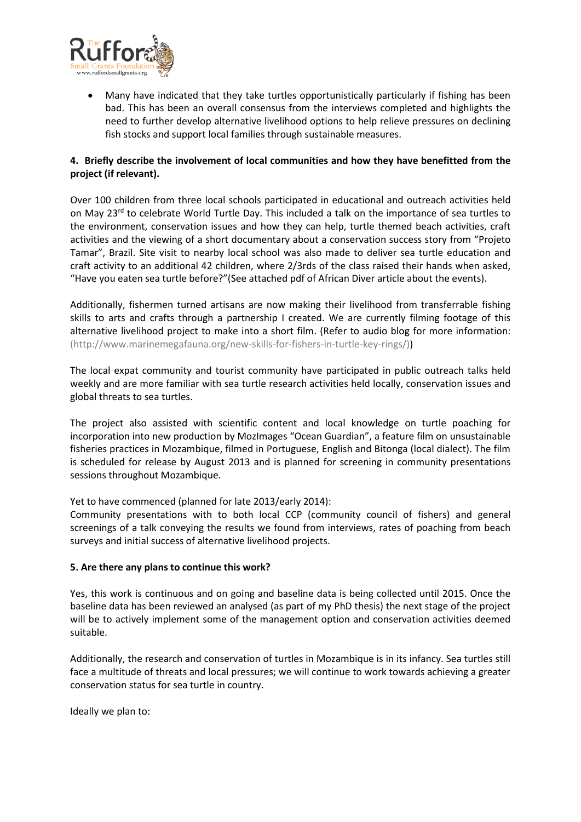

• Many have indicated that they take turtles opportunistically particularly if fishing has been bad. This has been an overall consensus from the interviews completed and highlights the need to further develop alternative livelihood options to help relieve pressures on declining fish stocks and support local families through sustainable measures.

## **4. Briefly describe the involvement of local communities and how they have benefitted from the project (if relevant).**

Over 100 children from three local schools participated in educational and outreach activities held on May 23<sup>rd</sup> to celebrate World Turtle Day. This included a talk on the importance of sea turtles to the environment, conservation issues and how they can help, turtle themed beach activities, craft activities and the viewing of a short documentary about a conservation success story from "Projeto Tamar", Brazil. Site visit to nearby local school was also made to deliver sea turtle education and craft activity to an additional 42 children, where 2/3rds of the class raised their hands when asked, "Have you eaten sea turtle before?"(See attached pdf of African Diver article about the events).

Additionally, fishermen turned artisans are now making their livelihood from transferrable fishing skills to arts and crafts through a partnership I created. We are currently filming footage of this alternative livelihood project to make into a short film. (Refer to audio blog for more information: (http://www.marinemegafauna.org/new-skills-for-fishers-in-turtle-key-rings/))

The local expat community and tourist community have participated in public outreach talks held weekly and are more familiar with sea turtle research activities held locally, conservation issues and global threats to sea turtles.

The project also assisted with scientific content and local knowledge on turtle poaching for incorporation into new production by MozImages "Ocean Guardian", a feature film on unsustainable fisheries practices in Mozambique, filmed in Portuguese, English and Bitonga (local dialect). The film is scheduled for release by August 2013 and is planned for screening in community presentations sessions throughout Mozambique.

Yet to have commenced (planned for late 2013/early 2014):

Community presentations with to both local CCP (community council of fishers) and general screenings of a talk conveying the results we found from interviews, rates of poaching from beach surveys and initial success of alternative livelihood projects.

## **5. Are there any plans to continue this work?**

Yes, this work is continuous and on going and baseline data is being collected until 2015. Once the baseline data has been reviewed an analysed (as part of my PhD thesis) the next stage of the project will be to actively implement some of the management option and conservation activities deemed suitable.

Additionally, the research and conservation of turtles in Mozambique is in its infancy. Sea turtles still face a multitude of threats and local pressures; we will continue to work towards achieving a greater conservation status for sea turtle in country.

Ideally we plan to: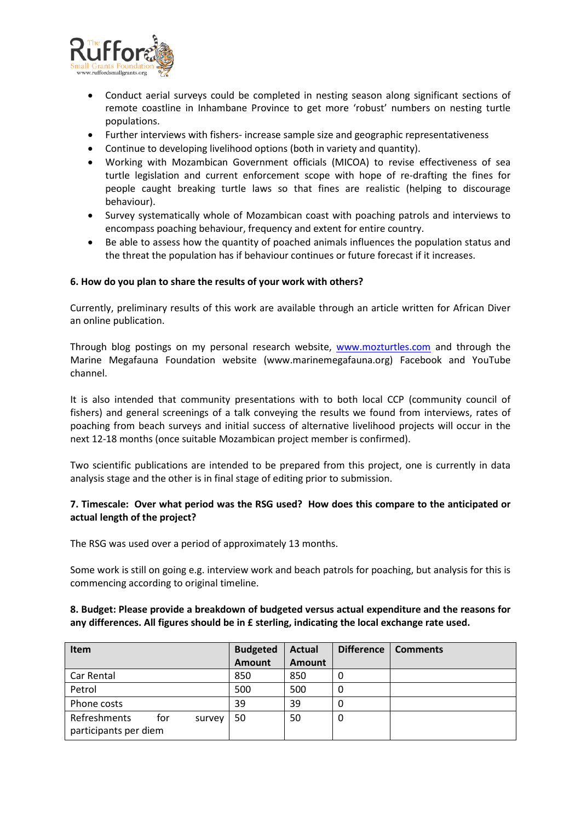

- Conduct aerial surveys could be completed in nesting season along significant sections of remote coastline in Inhambane Province to get more 'robust' numbers on nesting turtle populations.
- Further interviews with fishers- increase sample size and geographic representativeness
- Continue to developing livelihood options (both in variety and quantity).
- Working with Mozambican Government officials (MICOA) to revise effectiveness of sea turtle legislation and current enforcement scope with hope of re-drafting the fines for people caught breaking turtle laws so that fines are realistic (helping to discourage behaviour).
- Survey systematically whole of Mozambican coast with poaching patrols and interviews to encompass poaching behaviour, frequency and extent for entire country.
- Be able to assess how the quantity of poached animals influences the population status and the threat the population has if behaviour continues or future forecast if it increases.

#### **6. How do you plan to share the results of your work with others?**

Currently, preliminary results of this work are available through an article written for African Diver an online publication.

Through blog postings on my personal research website, [www.mozturtles.com](http://www.mozturtles.com/) and through the Marine Megafauna Foundation website (www.marinemegafauna.org) Facebook and YouTube channel.

It is also intended that community presentations with to both local CCP (community council of fishers) and general screenings of a talk conveying the results we found from interviews, rates of poaching from beach surveys and initial success of alternative livelihood projects will occur in the next 12-18 months (once suitable Mozambican project member is confirmed).

Two scientific publications are intended to be prepared from this project, one is currently in data analysis stage and the other is in final stage of editing prior to submission.

#### **7. Timescale: Over what period was the RSG used? How does this compare to the anticipated or actual length of the project?**

The RSG was used over a period of approximately 13 months.

Some work is still on going e.g. interview work and beach patrols for poaching, but analysis for this is commencing according to original timeline.

#### **8. Budget: Please provide a breakdown of budgeted versus actual expenditure and the reasons for any differences. All figures should be in £ sterling, indicating the local exchange rate used.**

| <b>Item</b>                                            | <b>Budgeted</b> | <b>Actual</b> | <b>Difference</b> | <b>Comments</b> |
|--------------------------------------------------------|-----------------|---------------|-------------------|-----------------|
|                                                        | <b>Amount</b>   | <b>Amount</b> |                   |                 |
| Car Rental                                             | 850             | 850           | 0                 |                 |
| Petrol                                                 | 500             | 500           | 0                 |                 |
| Phone costs                                            | 39              | 39            | 0                 |                 |
| Refreshments<br>for<br>survey<br>participants per diem | 50              | 50            | 0                 |                 |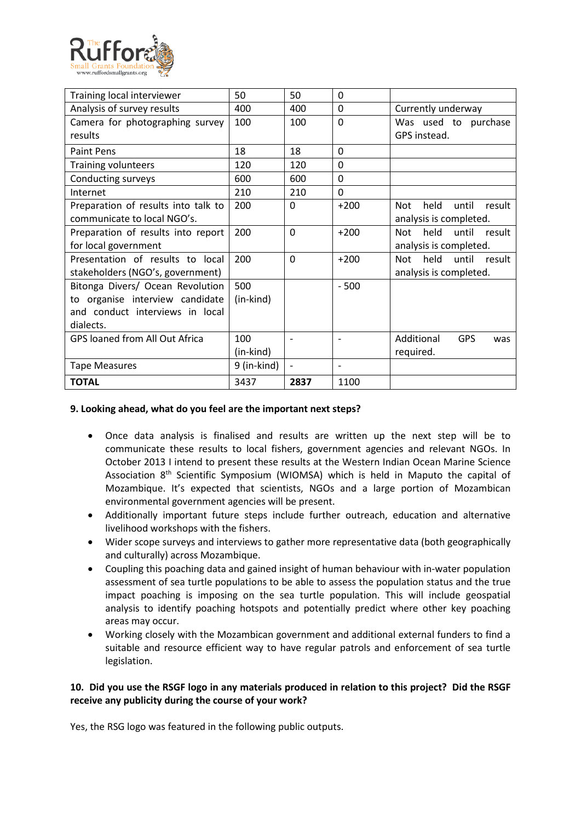

| Training local interviewer            | 50          | 50             | 0                            |                                       |
|---------------------------------------|-------------|----------------|------------------------------|---------------------------------------|
| Analysis of survey results            | 400         | 400            | 0                            | Currently underway                    |
| Camera for photographing survey       | 100         | 100            | $\Omega$                     | Was used to purchase                  |
| results                               |             |                |                              | GPS instead.                          |
| Paint Pens                            | 18          | 18             | 0                            |                                       |
| <b>Training volunteers</b>            | 120         | 120            | 0                            |                                       |
| Conducting surveys                    | 600         | 600            | 0                            |                                       |
| Internet                              | 210         | 210            | $\Omega$                     |                                       |
| Preparation of results into talk to   | 200         | $\Omega$       | $+200$                       | held<br>result<br>until<br><b>Not</b> |
| communicate to local NGO's.           |             |                |                              | analysis is completed.                |
| Preparation of results into report    | 200         | $\Omega$       | $+200$                       | until<br>Not<br>held<br>result        |
| for local government                  |             |                |                              | analysis is completed.                |
| Presentation of results to local      | 200         | $\overline{0}$ | $+200$                       | <b>Not</b><br>held<br>until<br>result |
| stakeholders (NGO's, government)      |             |                |                              | analysis is completed.                |
| Bitonga Divers/ Ocean Revolution      | 500         |                | $-500$                       |                                       |
| to organise interview candidate       | (in-kind)   |                |                              |                                       |
| and conduct interviews in local       |             |                |                              |                                       |
| dialects.                             |             |                |                              |                                       |
| <b>GPS loaned from All Out Africa</b> | 100         |                | ٠                            | Additional<br><b>GPS</b><br>was       |
|                                       | (in-kind)   |                |                              | required.                             |
| <b>Tape Measures</b>                  | 9 (in-kind) |                | $\qquad \qquad \blacksquare$ |                                       |
| <b>TOTAL</b>                          | 3437        | 2837           | 1100                         |                                       |

#### **9. Looking ahead, what do you feel are the important next steps?**

- Once data analysis is finalised and results are written up the next step will be to communicate these results to local fishers, government agencies and relevant NGOs. In October 2013 I intend to present these results at the Western Indian Ocean Marine Science Association 8th Scientific Symposium (WIOMSA) which is held in Maputo the capital of Mozambique. It's expected that scientists, NGOs and a large portion of Mozambican environmental government agencies will be present.
- Additionally important future steps include further outreach, education and alternative livelihood workshops with the fishers.
- Wider scope surveys and interviews to gather more representative data (both geographically and culturally) across Mozambique.
- Coupling this poaching data and gained insight of human behaviour with in-water population assessment of sea turtle populations to be able to assess the population status and the true impact poaching is imposing on the sea turtle population. This will include geospatial analysis to identify poaching hotspots and potentially predict where other key poaching areas may occur.
- Working closely with the Mozambican government and additional external funders to find a suitable and resource efficient way to have regular patrols and enforcement of sea turtle legislation.

## **10. Did you use the RSGF logo in any materials produced in relation to this project? Did the RSGF receive any publicity during the course of your work?**

Yes, the RSG logo was featured in the following public outputs.